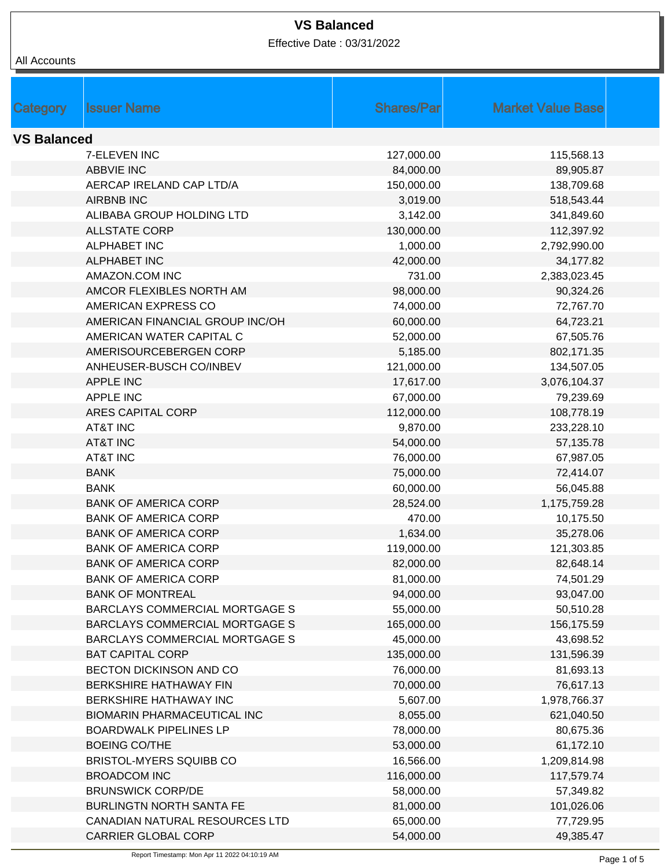| All Accounts       |                                       |                   |                          |
|--------------------|---------------------------------------|-------------------|--------------------------|
|                    |                                       |                   |                          |
|                    |                                       |                   |                          |
| <b>Category</b>    | <b>Issuer Name</b>                    | <b>Shares/Par</b> | <b>Market Value Base</b> |
|                    |                                       |                   |                          |
| <b>VS Balanced</b> |                                       |                   |                          |
|                    | 7-ELEVEN INC                          | 127,000.00        | 115,568.13               |
|                    | <b>ABBVIE INC</b>                     | 84,000.00         | 89,905.87                |
|                    | AERCAP IRELAND CAP LTD/A              | 150,000.00        | 138,709.68               |
|                    | <b>AIRBNB INC</b>                     | 3,019.00          | 518,543.44               |
|                    | ALIBABA GROUP HOLDING LTD             | 3,142.00          | 341,849.60               |
|                    | <b>ALLSTATE CORP</b>                  | 130,000.00        | 112,397.92               |
|                    | <b>ALPHABET INC</b>                   | 1,000.00          | 2,792,990.00             |
|                    | <b>ALPHABET INC</b>                   | 42,000.00         | 34,177.82                |
|                    | AMAZON.COM INC                        | 731.00            | 2,383,023.45             |
|                    | AMCOR FLEXIBLES NORTH AM              | 98,000.00         | 90,324.26                |
|                    | AMERICAN EXPRESS CO                   | 74,000.00         | 72,767.70                |
|                    | AMERICAN FINANCIAL GROUP INC/OH       | 60,000.00         | 64,723.21                |
|                    | AMERICAN WATER CAPITAL C              | 52,000.00         | 67,505.76                |
|                    | AMERISOURCEBERGEN CORP                | 5,185.00          | 802,171.35               |
|                    | ANHEUSER-BUSCH CO/INBEV               | 121,000.00        | 134,507.05               |
|                    | <b>APPLE INC</b>                      | 17,617.00         | 3,076,104.37             |
|                    | <b>APPLE INC</b>                      | 67,000.00         | 79,239.69                |
|                    | <b>ARES CAPITAL CORP</b>              | 112,000.00        | 108,778.19               |
|                    | <b>AT&amp;T INC</b>                   | 9,870.00          | 233,228.10               |
|                    | <b>AT&amp;T INC</b>                   | 54,000.00         | 57,135.78                |
|                    | <b>AT&amp;T INC</b>                   | 76,000.00         | 67,987.05                |
|                    | <b>BANK</b>                           | 75,000.00         | 72,414.07                |
|                    | <b>BANK</b>                           | 60,000.00         | 56,045.88                |
|                    | <b>BANK OF AMERICA CORP</b>           | 28,524.00         | 1,175,759.28             |
|                    | <b>BANK OF AMERICA CORP</b>           | 470.00            | 10,175.50                |
|                    | <b>BANK OF AMERICA CORP</b>           | 1,634.00          | 35,278.06                |
|                    | <b>BANK OF AMERICA CORP</b>           | 119,000.00        | 121,303.85               |
|                    | <b>BANK OF AMERICA CORP</b>           | 82,000.00         | 82,648.14                |
|                    | <b>BANK OF AMERICA CORP</b>           | 81,000.00         | 74,501.29                |
|                    | <b>BANK OF MONTREAL</b>               | 94,000.00         | 93,047.00                |
|                    | <b>BARCLAYS COMMERCIAL MORTGAGE S</b> | 55,000.00         | 50,510.28                |
|                    | BARCLAYS COMMERCIAL MORTGAGE S        | 165,000.00        | 156,175.59               |
|                    | BARCLAYS COMMERCIAL MORTGAGE S        | 45,000.00         | 43,698.52                |
|                    | <b>BAT CAPITAL CORP</b>               | 135,000.00        | 131,596.39               |
|                    | BECTON DICKINSON AND CO               | 76,000.00         | 81,693.13                |
|                    | BERKSHIRE HATHAWAY FIN                | 70,000.00         | 76,617.13                |
|                    | BERKSHIRE HATHAWAY INC                | 5,607.00          | 1,978,766.37             |
|                    | <b>BIOMARIN PHARMACEUTICAL INC</b>    | 8,055.00          | 621,040.50               |
|                    | <b>BOARDWALK PIPELINES LP</b>         | 78,000.00         | 80,675.36                |
|                    | <b>BOEING CO/THE</b>                  | 53,000.00         | 61,172.10                |
|                    | BRISTOL-MYERS SQUIBB CO               | 16,566.00         | 1,209,814.98             |
|                    | <b>BROADCOM INC</b>                   | 116,000.00        | 117,579.74               |
|                    | <b>BRUNSWICK CORP/DE</b>              | 58,000.00         | 57,349.82                |
|                    | <b>BURLINGTN NORTH SANTA FE</b>       | 81,000.00         | 101,026.06               |
|                    | CANADIAN NATURAL RESOURCES LTD        | 65,000.00         | 77,729.95                |
|                    | <b>CARRIER GLOBAL CORP</b>            | 54,000.00         | 49,385.47                |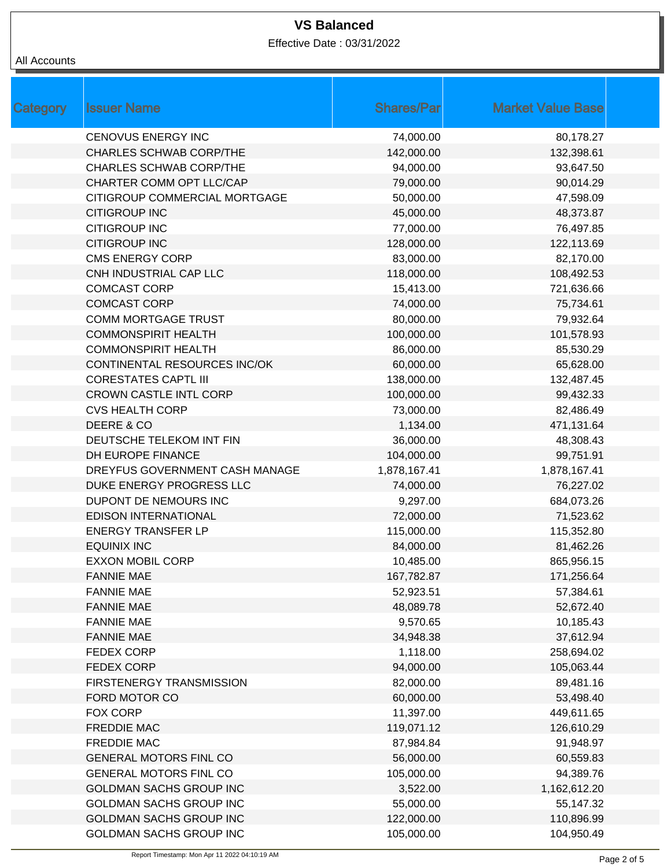| All Accounts |
|--------------|
|              |

| Category | <b>Issuer Name</b>             | <b>Shares/Par</b> | <b>Market Value Base</b> |  |
|----------|--------------------------------|-------------------|--------------------------|--|
|          | <b>CENOVUS ENERGY INC</b>      | 74,000.00         | 80,178.27                |  |
|          | <b>CHARLES SCHWAB CORP/THE</b> | 142,000.00        | 132,398.61               |  |
|          | <b>CHARLES SCHWAB CORP/THE</b> | 94,000.00         | 93,647.50                |  |
|          | CHARTER COMM OPT LLC/CAP       | 79,000.00         | 90,014.29                |  |
|          | CITIGROUP COMMERCIAL MORTGAGE  | 50,000.00         | 47,598.09                |  |
|          | <b>CITIGROUP INC</b>           | 45,000.00         | 48,373.87                |  |
|          | <b>CITIGROUP INC</b>           | 77,000.00         | 76,497.85                |  |
|          | <b>CITIGROUP INC</b>           | 128,000.00        | 122,113.69               |  |
|          | <b>CMS ENERGY CORP</b>         | 83,000.00         | 82,170.00                |  |
|          | CNH INDUSTRIAL CAP LLC         | 118,000.00        | 108,492.53               |  |
|          | <b>COMCAST CORP</b>            | 15,413.00         | 721,636.66               |  |
|          | <b>COMCAST CORP</b>            | 74,000.00         | 75,734.61                |  |
|          | <b>COMM MORTGAGE TRUST</b>     | 80,000.00         | 79,932.64                |  |
|          | <b>COMMONSPIRIT HEALTH</b>     | 100,000.00        | 101,578.93               |  |
|          | <b>COMMONSPIRIT HEALTH</b>     | 86,000.00         | 85,530.29                |  |
|          | CONTINENTAL RESOURCES INC/OK   | 60,000.00         | 65,628.00                |  |
|          | <b>CORESTATES CAPTL III</b>    | 138,000.00        | 132,487.45               |  |
|          | <b>CROWN CASTLE INTL CORP</b>  | 100,000.00        | 99,432.33                |  |
|          | <b>CVS HEALTH CORP</b>         | 73,000.00         | 82,486.49                |  |
|          | DEERE & CO                     | 1,134.00          | 471,131.64               |  |
|          | DEUTSCHE TELEKOM INT FIN       | 36,000.00         | 48,308.43                |  |
|          | DH EUROPE FINANCE              | 104,000.00        | 99,751.91                |  |
|          | DREYFUS GOVERNMENT CASH MANAGE | 1,878,167.41      | 1,878,167.41             |  |
|          | DUKE ENERGY PROGRESS LLC       | 74,000.00         | 76,227.02                |  |
|          | DUPONT DE NEMOURS INC          | 9,297.00          | 684,073.26               |  |
|          | <b>EDISON INTERNATIONAL</b>    | 72,000.00         | 71,523.62                |  |
|          | <b>ENERGY TRANSFER LP</b>      | 115,000.00        | 115,352.80               |  |
|          | <b>EQUINIX INC</b>             | 84,000.00         | 81,462.26                |  |
|          | <b>EXXON MOBIL CORP</b>        | 10,485.00         | 865,956.15               |  |
|          | <b>FANNIE MAE</b>              | 167,782.87        | 171,256.64               |  |
|          | <b>FANNIE MAE</b>              | 52,923.51         | 57,384.61                |  |
|          | <b>FANNIE MAE</b>              | 48,089.78         | 52,672.40                |  |
|          | <b>FANNIE MAE</b>              | 9,570.65          | 10,185.43                |  |
|          | <b>FANNIE MAE</b>              | 34,948.38         | 37,612.94                |  |
|          | FEDEX CORP                     | 1,118.00          | 258,694.02               |  |
|          | <b>FEDEX CORP</b>              | 94,000.00         | 105,063.44               |  |
|          | FIRSTENERGY TRANSMISSION       | 82,000.00         | 89,481.16                |  |
|          | FORD MOTOR CO                  | 60,000.00         | 53,498.40                |  |
|          | <b>FOX CORP</b>                | 11,397.00         | 449,611.65               |  |
|          | <b>FREDDIE MAC</b>             | 119,071.12        | 126,610.29               |  |
|          | FREDDIE MAC                    | 87,984.84         | 91,948.97                |  |
|          | <b>GENERAL MOTORS FINL CO</b>  | 56,000.00         | 60,559.83                |  |
|          | <b>GENERAL MOTORS FINL CO</b>  | 105,000.00        | 94,389.76                |  |
|          | GOLDMAN SACHS GROUP INC        | 3,522.00          | 1,162,612.20             |  |
|          | GOLDMAN SACHS GROUP INC        | 55,000.00         | 55,147.32                |  |
|          | GOLDMAN SACHS GROUP INC        | 122,000.00        | 110,896.99               |  |
|          | GOLDMAN SACHS GROUP INC        | 105,000.00        | 104,950.49               |  |
|          |                                |                   |                          |  |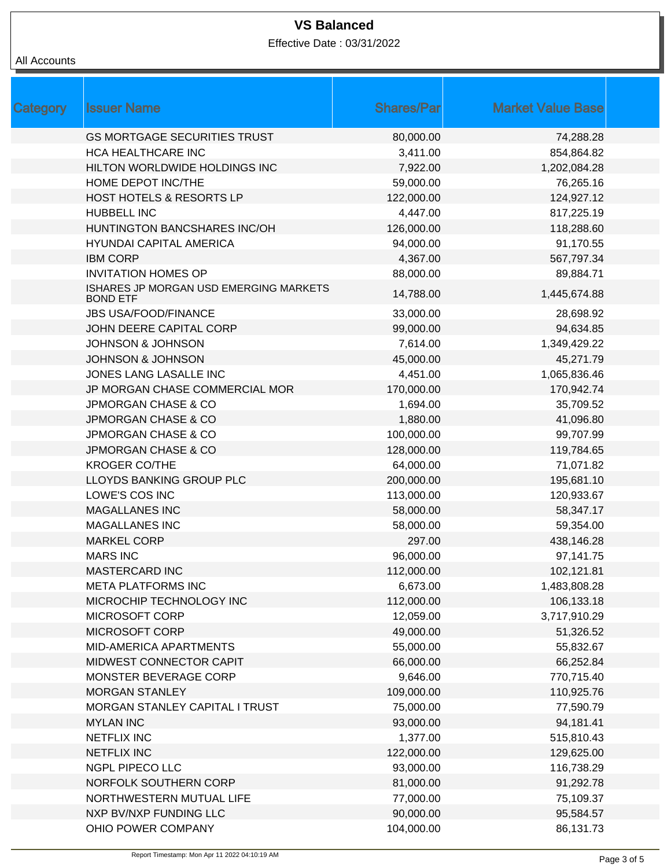| All Accounts |
|--------------|
|              |

| Category | <b>Issuer Name</b>                                        | <b>Shares/Parl</b> | <b>Market Value Base</b> |  |
|----------|-----------------------------------------------------------|--------------------|--------------------------|--|
|          | <b>GS MORTGAGE SECURITIES TRUST</b>                       | 80,000.00          | 74,288.28                |  |
|          | <b>HCA HEALTHCARE INC</b>                                 | 3,411.00           | 854,864.82               |  |
|          | HILTON WORLDWIDE HOLDINGS INC                             | 7,922.00           | 1,202,084.28             |  |
|          | HOME DEPOT INC/THE                                        | 59,000.00          | 76,265.16                |  |
|          | <b>HOST HOTELS &amp; RESORTS LP</b>                       | 122,000.00         | 124,927.12               |  |
|          | HUBBELL INC                                               | 4,447.00           | 817,225.19               |  |
|          | HUNTINGTON BANCSHARES INC/OH                              | 126,000.00         | 118,288.60               |  |
|          | <b>HYUNDAI CAPITAL AMERICA</b>                            | 94,000.00          | 91,170.55                |  |
|          | <b>IBM CORP</b>                                           | 4,367.00           | 567,797.34               |  |
|          | <b>INVITATION HOMES OP</b>                                | 88,000.00          | 89,884.71                |  |
|          | ISHARES JP MORGAN USD EMERGING MARKETS<br><b>BOND ETF</b> | 14,788.00          | 1,445,674.88             |  |
|          | <b>JBS USA/FOOD/FINANCE</b>                               | 33,000.00          | 28,698.92                |  |
|          | JOHN DEERE CAPITAL CORP                                   | 99,000.00          | 94,634.85                |  |
|          | <b>JOHNSON &amp; JOHNSON</b>                              | 7,614.00           | 1,349,429.22             |  |
|          | <b>JOHNSON &amp; JOHNSON</b>                              | 45,000.00          | 45,271.79                |  |
|          | JONES LANG LASALLE INC                                    | 4,451.00           | 1,065,836.46             |  |
|          | JP MORGAN CHASE COMMERCIAL MOR                            | 170,000.00         | 170,942.74               |  |
|          | <b>JPMORGAN CHASE &amp; CO</b>                            | 1,694.00           | 35,709.52                |  |
|          | <b>JPMORGAN CHASE &amp; CO</b>                            | 1,880.00           | 41,096.80                |  |
|          | <b>JPMORGAN CHASE &amp; CO</b>                            | 100,000.00         | 99,707.99                |  |
|          | <b>JPMORGAN CHASE &amp; CO</b>                            | 128,000.00         | 119,784.65               |  |
|          | <b>KROGER CO/THE</b>                                      | 64,000.00          | 71,071.82                |  |
|          | LLOYDS BANKING GROUP PLC                                  | 200,000.00         | 195,681.10               |  |
|          | LOWE'S COS INC                                            | 113,000.00         | 120,933.67               |  |
|          | <b>MAGALLANES INC</b>                                     | 58,000.00          | 58,347.17                |  |
|          | <b>MAGALLANES INC</b>                                     | 58,000.00          | 59,354.00                |  |
|          | <b>MARKEL CORP</b>                                        | 297.00             | 438,146.28               |  |
|          | <b>MARS INC</b>                                           | 96,000.00          | 97,141.75                |  |
|          | <b>MASTERCARD INC</b>                                     | 112,000.00         | 102,121.81               |  |
|          | <b>META PLATFORMS INC</b>                                 | 6,673.00           | 1,483,808.28             |  |
|          | MICROCHIP TECHNOLOGY INC                                  | 112,000.00         | 106,133.18               |  |
|          | <b>MICROSOFT CORP</b>                                     | 12,059.00          | 3,717,910.29             |  |
|          | MICROSOFT CORP                                            | 49,000.00          | 51,326.52                |  |
|          | MID-AMERICA APARTMENTS                                    | 55,000.00          | 55,832.67                |  |
|          | MIDWEST CONNECTOR CAPIT                                   | 66,000.00          | 66,252.84                |  |
|          | MONSTER BEVERAGE CORP                                     | 9,646.00           | 770,715.40               |  |
|          | <b>MORGAN STANLEY</b>                                     | 109,000.00         | 110,925.76               |  |
|          | MORGAN STANLEY CAPITAL I TRUST                            | 75,000.00          | 77,590.79                |  |
|          | <b>MYLAN INC</b>                                          | 93,000.00          | 94,181.41                |  |
|          | <b>NETFLIX INC</b>                                        | 1,377.00           | 515,810.43               |  |
|          | <b>NETFLIX INC</b>                                        | 122,000.00         | 129,625.00               |  |
|          | <b>NGPL PIPECO LLC</b>                                    | 93,000.00          | 116,738.29               |  |
|          | NORFOLK SOUTHERN CORP                                     | 81,000.00          | 91,292.78                |  |
|          | NORTHWESTERN MUTUAL LIFE                                  | 77,000.00          | 75,109.37                |  |
|          | NXP BV/NXP FUNDING LLC                                    | 90,000.00          | 95,584.57                |  |
|          | OHIO POWER COMPANY                                        | 104,000.00         | 86,131.73                |  |
|          |                                                           |                    |                          |  |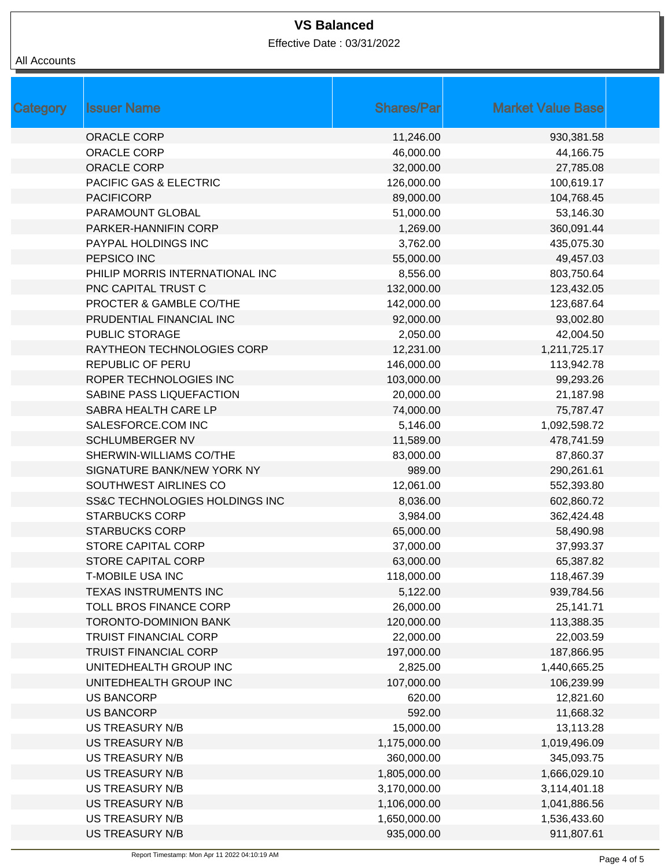|  | All Accounts |
|--|--------------|
|--|--------------|

| <b>Category</b> | <b>Issuer Name</b>              | <b>Shares/Par</b> | <b>Market Value Base</b> |  |
|-----------------|---------------------------------|-------------------|--------------------------|--|
|                 | ORACLE CORP                     | 11,246.00         | 930,381.58               |  |
|                 | ORACLE CORP                     | 46,000.00         | 44,166.75                |  |
|                 | <b>ORACLE CORP</b>              | 32,000.00         | 27,785.08                |  |
|                 | PACIFIC GAS & ELECTRIC          | 126,000.00        | 100,619.17               |  |
|                 | <b>PACIFICORP</b>               | 89,000.00         | 104,768.45               |  |
|                 | PARAMOUNT GLOBAL                | 51,000.00         | 53,146.30                |  |
|                 | PARKER-HANNIFIN CORP            | 1,269.00          | 360,091.44               |  |
|                 | PAYPAL HOLDINGS INC             | 3,762.00          | 435,075.30               |  |
|                 | PEPSICO INC                     | 55,000.00         | 49,457.03                |  |
|                 | PHILIP MORRIS INTERNATIONAL INC | 8,556.00          | 803,750.64               |  |
|                 | PNC CAPITAL TRUST C             | 132,000.00        | 123,432.05               |  |
|                 | PROCTER & GAMBLE CO/THE         | 142,000.00        | 123,687.64               |  |
|                 | PRUDENTIAL FINANCIAL INC        | 92,000.00         | 93,002.80                |  |
|                 | PUBLIC STORAGE                  | 2,050.00          | 42,004.50                |  |
|                 | RAYTHEON TECHNOLOGIES CORP      | 12,231.00         | 1,211,725.17             |  |
|                 | <b>REPUBLIC OF PERU</b>         | 146,000.00        | 113,942.78               |  |
|                 | ROPER TECHNOLOGIES INC          | 103,000.00        | 99,293.26                |  |
|                 | SABINE PASS LIQUEFACTION        | 20,000.00         | 21,187.98                |  |
|                 | SABRA HEALTH CARE LP            | 74,000.00         | 75,787.47                |  |
|                 | SALESFORCE.COM INC              | 5,146.00          | 1,092,598.72             |  |
|                 | <b>SCHLUMBERGER NV</b>          | 11,589.00         | 478,741.59               |  |
|                 | SHERWIN-WILLIAMS CO/THE         | 83,000.00         | 87,860.37                |  |
|                 | SIGNATURE BANK/NEW YORK NY      | 989.00            | 290,261.61               |  |
|                 | SOUTHWEST AIRLINES CO           | 12,061.00         | 552,393.80               |  |
|                 | SS&C TECHNOLOGIES HOLDINGS INC  | 8,036.00          | 602,860.72               |  |
|                 | <b>STARBUCKS CORP</b>           | 3,984.00          | 362,424.48               |  |
|                 | <b>STARBUCKS CORP</b>           | 65,000.00         | 58,490.98                |  |
|                 | <b>STORE CAPITAL CORP</b>       | 37,000.00         | 37,993.37                |  |
|                 | <b>STORE CAPITAL CORP</b>       | 63,000.00         | 65,387.82                |  |
|                 | <b>T-MOBILE USA INC</b>         | 118,000.00        | 118,467.39               |  |
|                 | TEXAS INSTRUMENTS INC           | 5,122.00          | 939,784.56               |  |
|                 | <b>TOLL BROS FINANCE CORP</b>   | 26,000.00         | 25,141.71                |  |
|                 | <b>TORONTO-DOMINION BANK</b>    | 120,000.00        | 113,388.35               |  |
|                 | <b>TRUIST FINANCIAL CORP</b>    | 22,000.00         | 22,003.59                |  |
|                 | <b>TRUIST FINANCIAL CORP</b>    | 197,000.00        | 187,866.95               |  |
|                 | UNITEDHEALTH GROUP INC          | 2,825.00          | 1,440,665.25             |  |
|                 | UNITEDHEALTH GROUP INC          | 107,000.00        | 106,239.99               |  |
|                 | <b>US BANCORP</b>               | 620.00            | 12,821.60                |  |
|                 | <b>US BANCORP</b>               | 592.00            | 11,668.32                |  |
|                 | <b>US TREASURY N/B</b>          | 15,000.00         | 13,113.28                |  |
|                 | <b>US TREASURY N/B</b>          | 1,175,000.00      | 1,019,496.09             |  |
|                 | <b>US TREASURY N/B</b>          | 360,000.00        | 345,093.75               |  |
|                 | <b>US TREASURY N/B</b>          | 1,805,000.00      | 1,666,029.10             |  |
|                 | <b>US TREASURY N/B</b>          | 3,170,000.00      | 3,114,401.18             |  |
|                 | <b>US TREASURY N/B</b>          | 1,106,000.00      | 1,041,886.56             |  |
|                 | US TREASURY N/B                 | 1,650,000.00      | 1,536,433.60             |  |
|                 | US TREASURY N/B                 | 935,000.00        | 911,807.61               |  |
|                 |                                 |                   |                          |  |